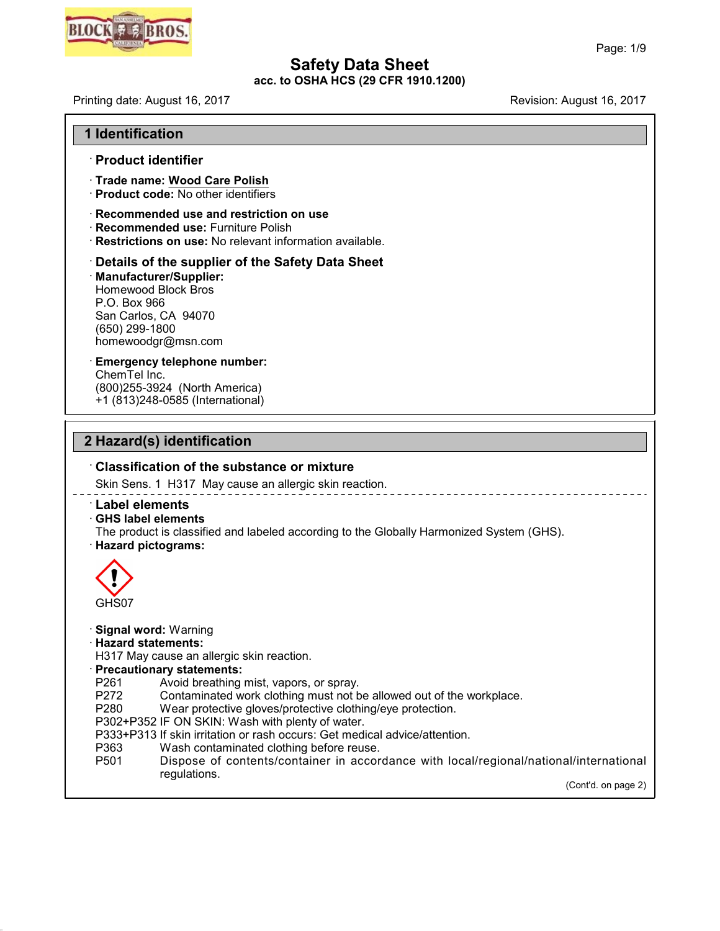

**acc. to OSHA HCS (29 CFR 1910.1200)**

Printing date: August 16, 2017 **Printing date: August 16, 2017** 

|  | <b>1 Identification</b> |  |
|--|-------------------------|--|
|--|-------------------------|--|

#### · **Product identifier**

- · **Trade name: Wood Care Polish**
- · **Product code:** No other identifiers
- · **Recommended use and restriction on use**
- · **Recommended use:** Furniture Polish
- · **Restrictions on use:** No relevant information available.

· **Details of the supplier of the Safety Data Sheet** · **Manufacturer/Supplier:** Homewood Block Bros P.O. Box 966 San Carlos, CA 94070 (650) 299-1800 homewoodgr@msn.com

· **Emergency telephone number:** ChemTel Inc. (800)255-3924 (North America) +1 (813)248-0585 (International)

## **2 Hazard(s) identification**

45.2.2

## · **Classification of the substance or mixture** Skin Sens. 1 H317 May cause an allergic skin reaction. · **Label elements** · **GHS label elements** The product is classified and labeled according to the Globally Harmonized System (GHS). · **Hazard pictograms:** GHS07 · **Signal word:** Warning · **Hazard statements:** H317 May cause an allergic skin reaction. · **Precautionary statements:** P261 Avoid breathing mist, vapors, or spray.<br>P272 Contaminated work clothing must not b P272 Contaminated work clothing must not be allowed out of the workplace.<br>P280 Wear protective gloves/protective clothing/eye protection. Wear protective gloves/protective clothing/eye protection. P302+P352 IF ON SKIN: Wash with plenty of water. P333+P313 If skin irritation or rash occurs: Get medical advice/attention. P363 Wash contaminated clothing before reuse.<br>P501 Dispose of contents/container in accor Dispose of contents/container in accordance with local/regional/national/international regulations. (Cont'd. on page 2)

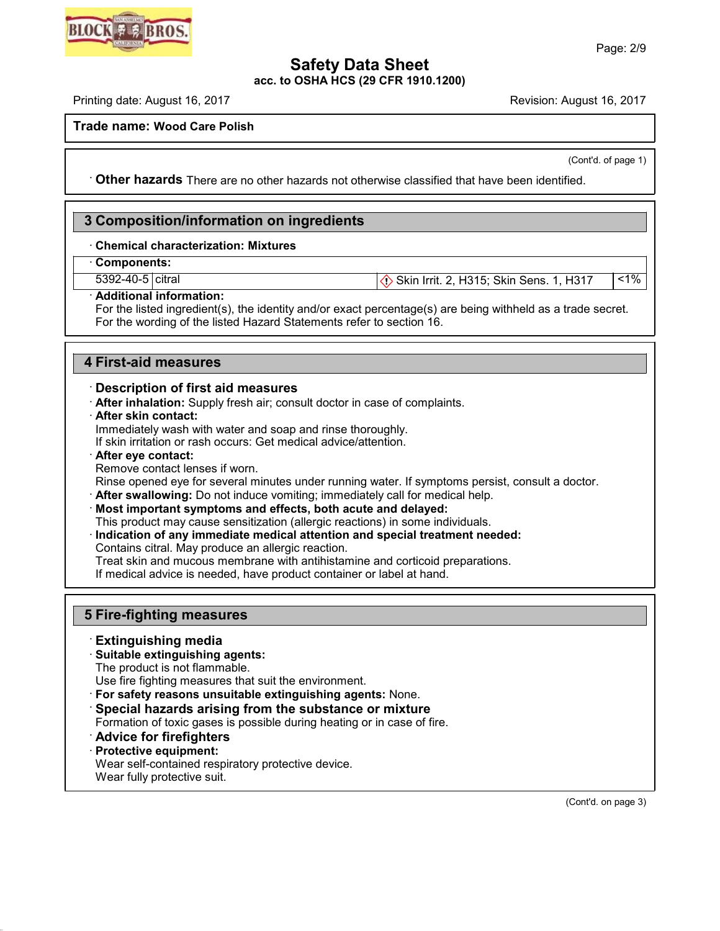

**acc. to OSHA HCS (29 CFR 1910.1200)**

Printing date: August 16, 2017 **Revision: August 16, 2017** Revision: August 16, 2017

**Trade name: Wood Care Polish**

(Cont'd. of page 1)

· **Other hazards** There are no other hazards nototherwise classified that have been identified.

## **3 Composition/information on ingredients**

## · **Chemical characterization: Mixtures**

· **Components:**

5392-40-5 citral Subset of Skin Irrit. 2, H315; Skin Sens. 1, H317 (1%) Skin Sens. 1, H317 (1%)

#### · **Additional information:**

For the listed ingredient(s), the identity and/or exact percentage(s) are being withheld as a trade secret. For the wording of the listed Hazard Statements refer to section 16.

## **4 First-aid measures**

#### · **Description of first aid measures**

· **After inhalation:** Supply fresh air; consult doctor in case of complaints.

· **After skin contact:**

Immediately wash with water and soap and rinse thoroughly.

If skin irritation or rash occurs: Get medical advice/attention.

· **After eye contact:**

Remove contact lenses if worn.

Rinse opened eye for several minutes under running water. If symptoms persist, consult a doctor.

· **After swallowing:** Do not induce vomiting; immediately call for medical help.

· **Most important symptoms and effects, both acute and delayed:**

This product may cause sensitization (allergic reactions) in some individuals.

· **Indication of any immediate medical attention and special treatment needed:**

Contains citral. May produce an allergic reaction.

Treat skin and mucous membrane with antihistamine and corticoid preparations.

If medical advice is needed, have product container or label at hand.

## **5 Fire-fighting measures**

## · **Extinguishing media**

· **Suitable extinguishing agents:**

The product is not flammable.

Use fire fighting measures that suit the environment.

· **For safety reasons unsuitable extinguishing agents:** None.

· **Special hazards arising from the substance or mixture**

Formation of toxic gases is possible during heating or in case of fire.

## · **Advice for firefighters**

#### · **Protective equipment:**

45.2.2

Wear self-contained respiratory protective device.

Wear fully protective suit.

(Cont'd. on page 3)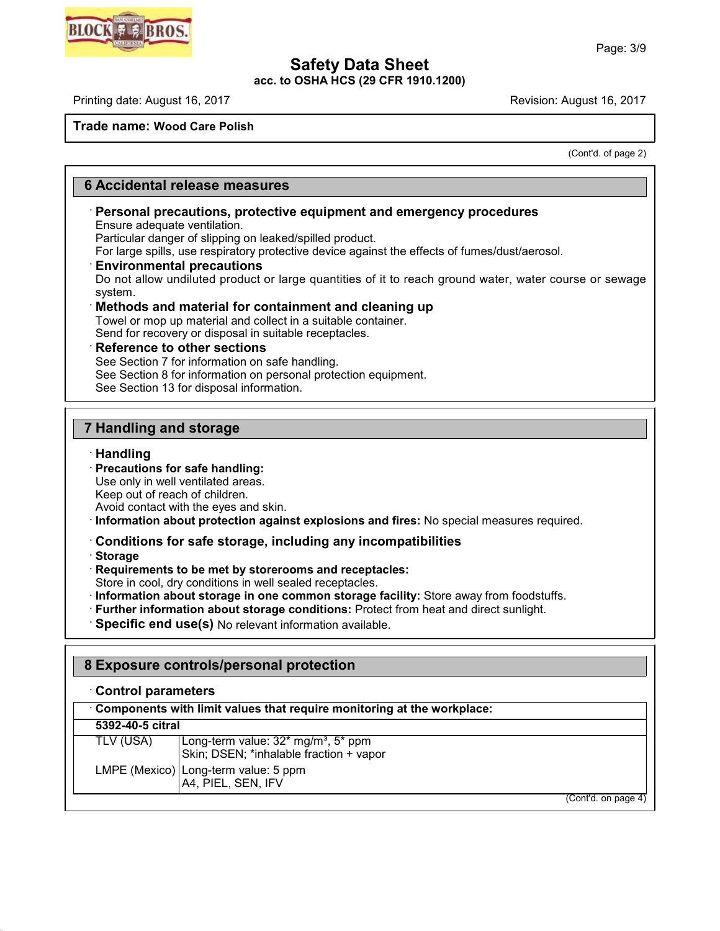**acc. to OSHA HCS (29 CFR 1910.1200)**

Printing date: August 16, 2017 **Revision: August 16, 2017** Revision: August 16, 2017

## **Trade name: Wood Care Polish**

(Cont'd. of page 2)

## **6 Accidental release measures**

## · **Personal precautions, protective equipment and emergency procedures**

Ensure adequate ventilation.

Particular danger of slipping on leaked/spilled product. For large spills, use respiratory protective device against the effects of fumes/dust/aerosol.

#### · **Environmental precautions**

Do not allow undiluted product or large quantities of it to reach ground water, water course or sewage system.

#### · **Methods and material for containment and cleaning up**

Towel or mop up material and collect in a suitable container. Send for recovery or disposal in suitable receptacles.

#### · **Reference to other sections**

See Section 7 for information on safe handling.

See Section 8 for information on personal protection equipment.

See Section 13 for disposal information.

## **7 Handling and storage**

#### · **Handling**

· **Precautions for safe handling:**

Use only in well ventilated areas.

Keep out of reach of children.

Avoid contact with the eyes and skin.

· **Information about protection against explosions and fires:** No special measures required.

## · **Conditions for safe storage, including any incompatibilities**

· **Storage**

45.2.2

· **Requirements to be met by storerooms and receptacles:**

Store in cool, dry conditions in well sealed receptacles.

· **Information about storage in one common storage facility:** Store away from foodstuffs.

- · **Further information about storage conditions:** Protect from heat and direct sunlight.
- · **Specific end use(s)** No relevant information available.

## **8 Exposure controls/personal protection**

## · **Control parameters**

| Components with limit values that require monitoring at the workplace: |                                                                                            |  |  |
|------------------------------------------------------------------------|--------------------------------------------------------------------------------------------|--|--|
| 5392-40-5 citral                                                       |                                                                                            |  |  |
| TLV (USA)                                                              | Long-term value: 32* mg/m <sup>3</sup> , 5* ppm<br>Skin; DSEN; *inhalable fraction + vapor |  |  |
|                                                                        | LMPE (Mexico) Long-term value: 5 ppm<br>A4, PIEL, SEN, IFV                                 |  |  |
|                                                                        | (Cont'd. on page 4)                                                                        |  |  |

**BLOCK EX RRO**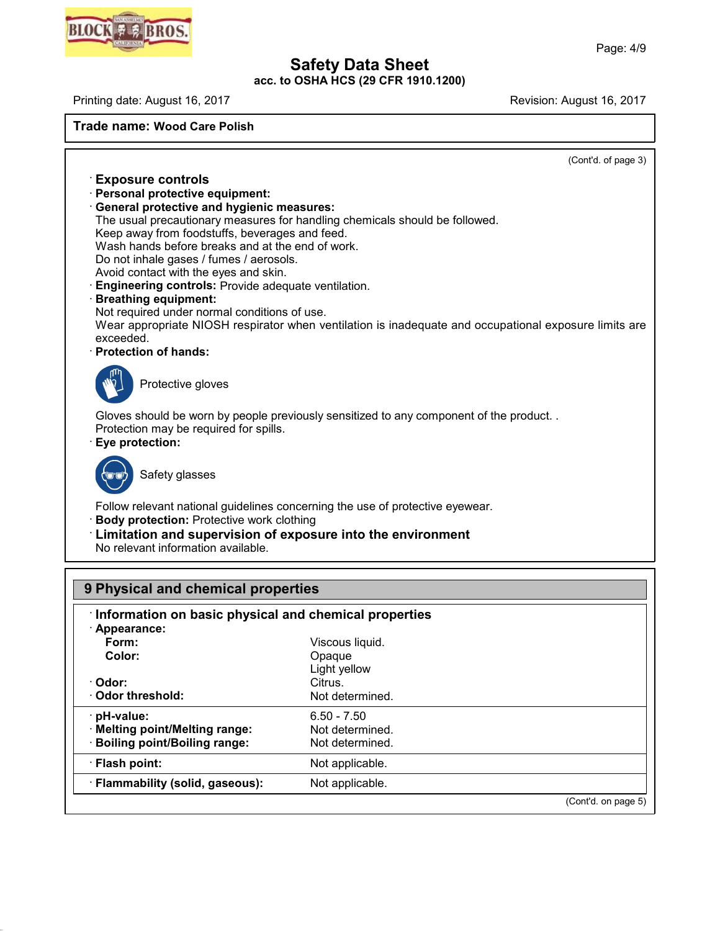**acc. to OSHA HCS (29 CFR 1910.1200)**

Printing date: August 16, 2017 **Printing date: August 16, 2017** 

45.2.2

**Trade name: Wood Care Polish**

| (Cont'd. of page 3)                                                                                   |  |
|-------------------------------------------------------------------------------------------------------|--|
| <b>Exposure controls</b>                                                                              |  |
| · Personal protective equipment:                                                                      |  |
| <b>General protective and hygienic measures:</b>                                                      |  |
| The usual precautionary measures for handling chemicals should be followed.                           |  |
| Keep away from foodstuffs, beverages and feed.                                                        |  |
| Wash hands before breaks and at the end of work.<br>Do not inhale gases / fumes / aerosols.           |  |
| Avoid contact with the eyes and skin.                                                                 |  |
| Engineering controls: Provide adequate ventilation.                                                   |  |
| <b>Breathing equipment:</b>                                                                           |  |
| Not required under normal conditions of use.                                                          |  |
| Wear appropriate NIOSH respirator when ventilation is inadequate and occupational exposure limits are |  |
| exceeded.                                                                                             |  |
| · Protection of hands:                                                                                |  |
| Protective gloves                                                                                     |  |
| Gloves should be worn by people previously sensitized to any component of the product                 |  |
| Protection may be required for spills.                                                                |  |
| · Eye protection:                                                                                     |  |
|                                                                                                       |  |
| Safety glasses                                                                                        |  |
|                                                                                                       |  |
| Follow relevant national guidelines concerning the use of protective eyewear.                         |  |
| <b>Body protection: Protective work clothing</b>                                                      |  |
| : Limitation and supervision of exposure into the environment                                         |  |
| No relevant information available.                                                                    |  |

| 9 Physical and chemical properties                    |                 |                     |  |  |  |
|-------------------------------------------------------|-----------------|---------------------|--|--|--|
| Information on basic physical and chemical properties |                 |                     |  |  |  |
| · Appearance:                                         |                 |                     |  |  |  |
| Form:                                                 | Viscous liquid. |                     |  |  |  |
| Color:                                                | Opaque          |                     |  |  |  |
|                                                       | Light yellow    |                     |  |  |  |
| · Odor:                                               | Citrus.         |                     |  |  |  |
| Odor threshold:                                       | Not determined. |                     |  |  |  |
| pH-value:                                             | $6.50 - 7.50$   |                     |  |  |  |
| · Melting point/Melting range:                        | Not determined. |                     |  |  |  |
| <b>Boiling point/Boiling range:</b>                   | Not determined. |                     |  |  |  |
| · Flash point:                                        | Not applicable. |                     |  |  |  |
| · Flammability (solid, gaseous):                      | Not applicable. |                     |  |  |  |
|                                                       |                 | (Cont'd. on page 5) |  |  |  |

# BLOCK # # BROS.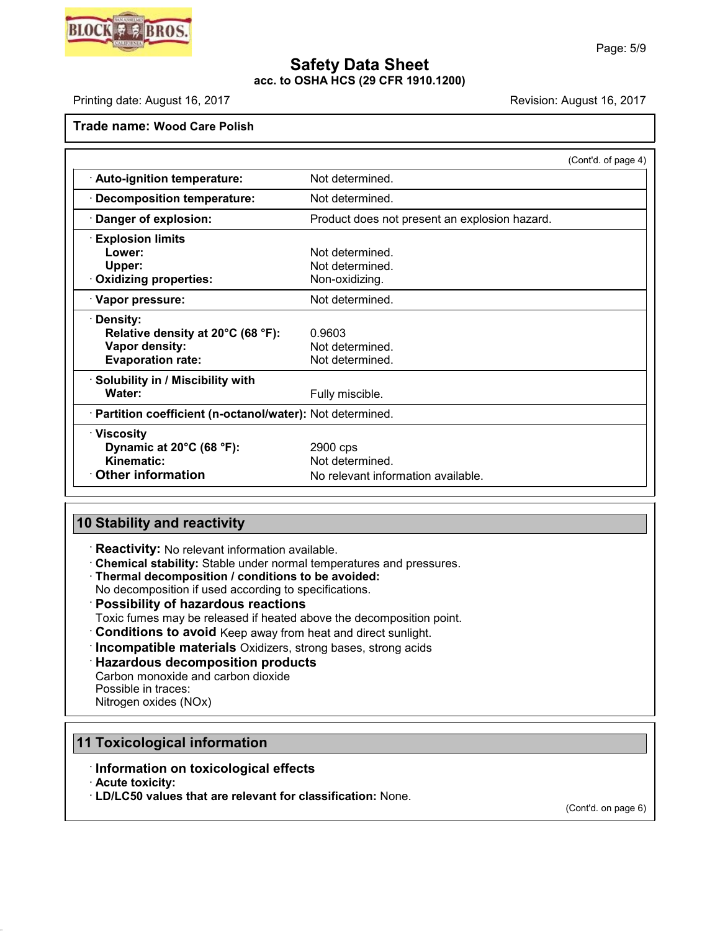

## **Safety Data Sheet acc. to OSHA HCS (29 CFR 1910.1200)**

Printing date: August 16, 2017 **Revision: August 16, 2017** Revision: August 16, 2017

**Trade name: Wood Care Polish**

|                                                            |                                               | (Cont'd. of page 4) |
|------------------------------------------------------------|-----------------------------------------------|---------------------|
| · Auto-ignition temperature:                               | Not determined.                               |                     |
| · Decomposition temperature:                               | Not determined.                               |                     |
| · Danger of explosion:                                     | Product does not present an explosion hazard. |                     |
| <b>Explosion limits</b>                                    |                                               |                     |
| Lower:                                                     | Not determined.                               |                     |
| Upper:                                                     | Not determined.                               |                     |
| · Oxidizing properties:                                    | Non-oxidizing.                                |                     |
| · Vapor pressure:                                          | Not determined.                               |                     |
| · Density:                                                 |                                               |                     |
| Relative density at 20°C (68 °F):                          | 0.9603                                        |                     |
| Vapor density:                                             | Not determined.                               |                     |
| <b>Evaporation rate:</b>                                   | Not determined.                               |                     |
| · Solubility in / Miscibility with                         |                                               |                     |
| Water:                                                     | Fully miscible.                               |                     |
| · Partition coefficient (n-octanol/water): Not determined. |                                               |                     |
| <b>∴Viscosity</b>                                          |                                               |                     |
| Dynamic at 20°C (68 °F):                                   | 2900 cps                                      |                     |
| Kinematic:                                                 | Not determined.                               |                     |
| <b>Other information</b>                                   | No relevant information available.            |                     |

## **10 Stability and reactivity**

· **Reactivity:** No relevant information available.

· **Chemical stability:** Stable under normal temperatures and pressures.

· **Thermal decomposition / conditions to be avoided:**

No decomposition if used according to specifications.

- · **Possibility of hazardous reactions**
- Toxic fumes may be released if heated above the decomposition point.
- · **Conditions to avoid** Keep away from heat and direct sunlight.
- · **Incompatible materials** Oxidizers, strong bases, strong acids

## · **Hazardous decomposition products**

Carbon monoxide and carbon dioxide Possible in traces:

Nitrogen oxides (NOx)

## **11 Toxicological information**

## · **Information on toxicological effects**

· **Acute toxicity:**

45.2.2

· **LD/LC50 values that are relevant for classification:** None.

(Cont'd. on page 6)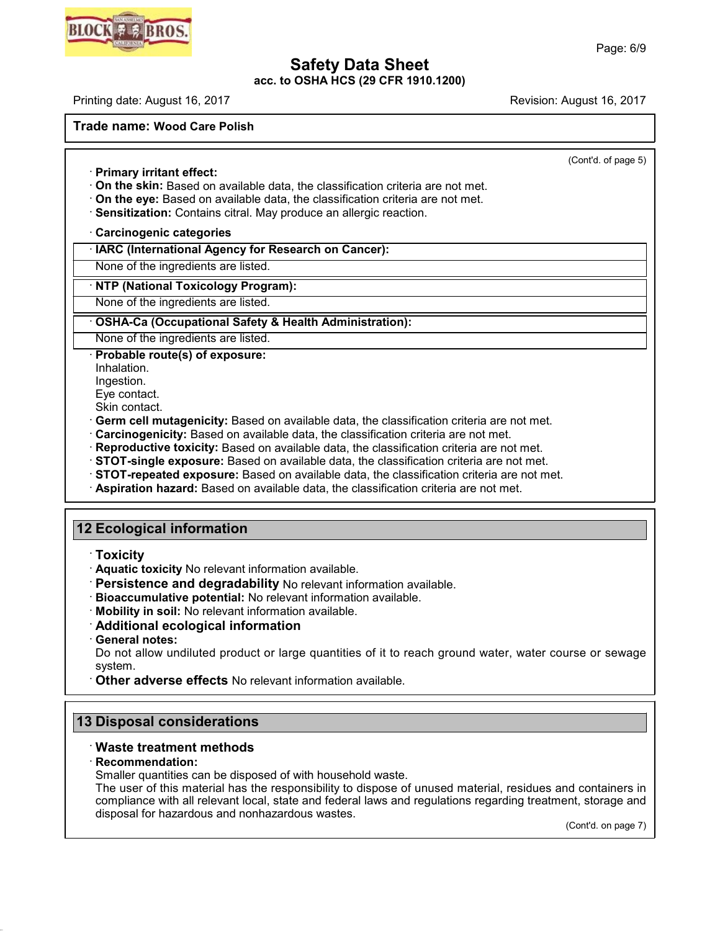**acc. to OSHA HCS (29 CFR 1910.1200)**

Printing date: August 16, 2017 **Revision: August 16, 2017** Revision: August 16, 2017

**Trade name: Wood Care Polish**

(Cont'd. of page 5)

· **Primary irritant effect:**

- · **On the skin:** Based on available data, the classification criteria are not met.
- · **On the eye:** Based on available data, the classification criteria are not met.
- · **Sensitization:** Contains citral. May produce an allergic reaction.

## · **Carcinogenic categories**

## · **IARC (International Agency for Research on Cancer):**

None of the ingredients are listed.

## · **NTP (National Toxicology Program):**

None of the ingredients are listed.

## · **OSHA-Ca (Occupational Safety & Health Administration):**

None of the ingredients are listed.

· **Probable route(s) of exposure:**

Inhalation.

Ingestion.

Eye contact.

Skin contact.

· **Germ cell mutagenicity:** Based on available data, the classification criteria are not met.

- · **Carcinogenicity:** Based on available data, the classification criteria are not met.
- · **Reproductive toxicity:** Based on available data, the classification criteria are not met.
- · **STOT-single exposure:** Based on available data, the classification criteria are not met.
- · **STOT-repeated exposure:** Based on available data, the classification criteria are not met.
- · **Aspiration hazard:** Based on available data, the classification criteria are not met.

## **12 Ecological information**

- · **Toxicity**
- · **Aquatic toxicity** No relevant information available.
- · **Persistence and degradability** No relevant information available.
- · **Bioaccumulative potential:** No relevant information available.
- · **Mobility in soil:** No relevant information available.
- · **Additional ecological information**
- · **General notes:**

Do not allow undiluted product or large quantities of it to reach ground water, water course or sewage system.

· **Other adverse effects** No relevant information available.

## **13 Disposal considerations**

## · **Waste treatment methods**

#### · **Recommendation:**

45.2.2

Smaller quantities can be disposed of with household waste.

The user of this material has the responsibility to dispose of unused material, residues and containers in compliance with all relevant local, state and federal laws and regulations regarding treatment, storage and disposal for hazardous and nonhazardous wastes.

(Cont'd. on page 7)

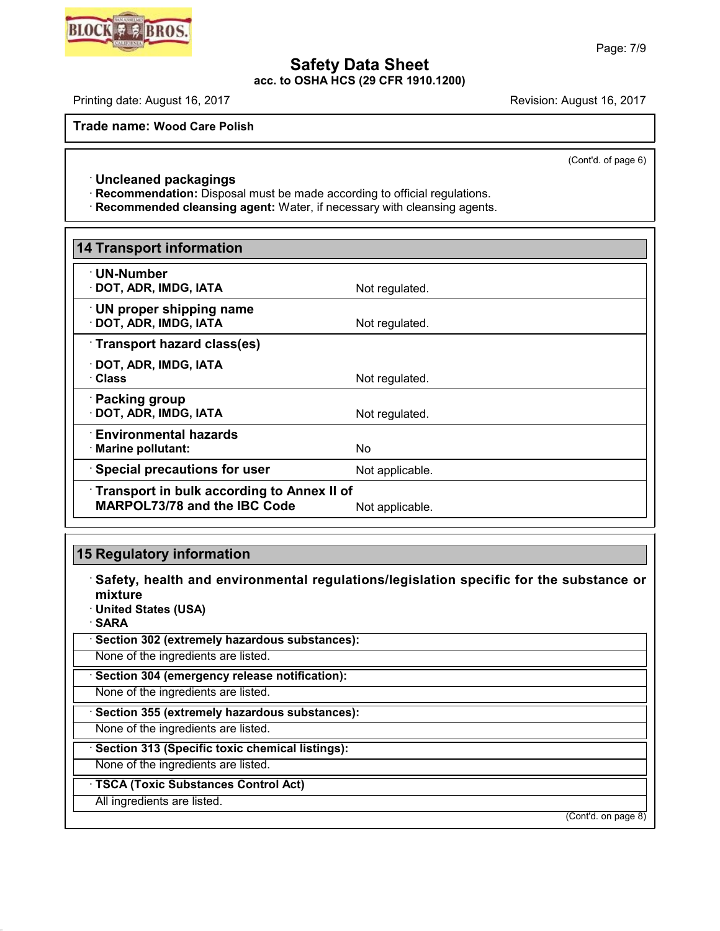**acc. to OSHA HCS (29 CFR 1910.1200)**

Printing date: August 16, 2017 **Revision: August 16, 2017** Revision: August 16, 2017

**Trade name: Wood Care Polish**

(Cont'd. of page 6)

## · **Uncleaned packagings**

· **Recommendation:** Disposal must be made according to official regulations.

· **Recommended cleansing agent:** Water, if necessary with cleansing agents.

| 14 Transport information                                                          |                 |  |
|-----------------------------------------------------------------------------------|-----------------|--|
| · UN-Number<br>$\cdot$ DOT, ADR, IMDG, IATA                                       | Not regulated.  |  |
| UN proper shipping name<br>· DOT, ADR, IMDG, IATA                                 | Not regulated.  |  |
| Transport hazard class(es)                                                        |                 |  |
| $\cdot$ DOT, ADR, IMDG, IATA<br>· Class                                           | Not regulated.  |  |
| · Packing group<br>· DOT, ADR, IMDG, IATA                                         | Not regulated.  |  |
| $\cdot$ Environmental hazards.<br>· Marine pollutant:                             | <b>No</b>       |  |
| <b>Special precautions for user</b>                                               | Not applicable. |  |
| Transport in bulk according to Annex II of<br><b>MARPOL73/78 and the IBC Code</b> | Not applicable. |  |

## **15 Regulatory information**

· **Safety, health and environmental regulations/legislation specific for the substance or mixture** · **United States (USA)**

· **SARA**

45.2.2

· **Section 302 (extremely hazardous substances):**

None of the ingredients are listed.

· **Section 304 (emergency release notification):**

None of the ingredients are listed.

· **Section 355 (extremely hazardous substances):**

None of the ingredients are listed.

· **Section 313 (Specific toxic chemical listings):**

None of the ingredients are listed.

· **TSCA (Toxic Substances Control Act)**

All ingredients are listed.

(Cont'd. on page 8)

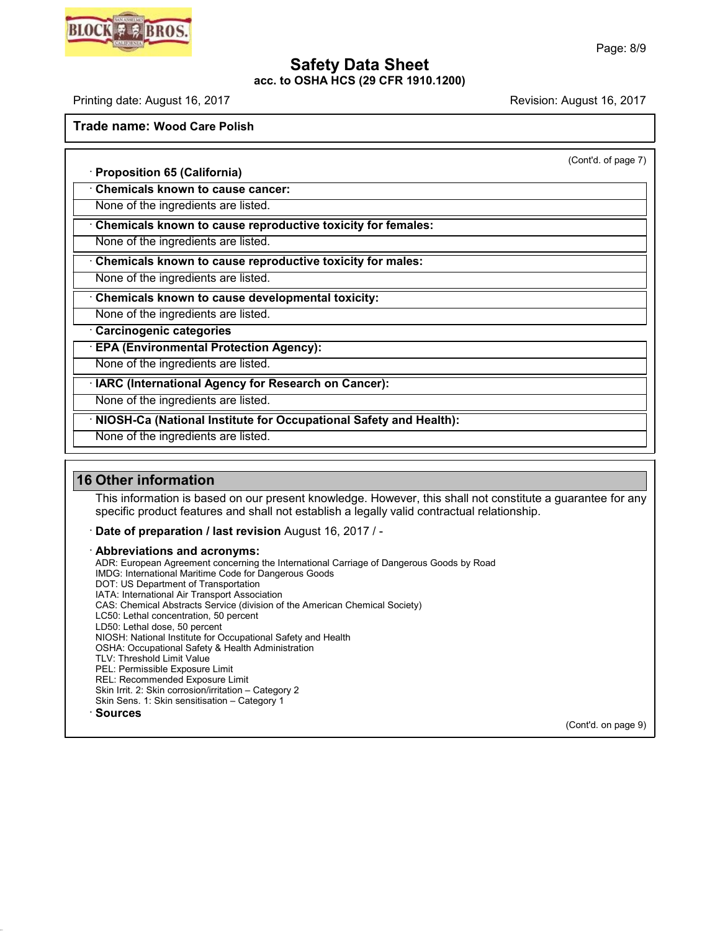**acc. to OSHA HCS (29 CFR 1910.1200)**

Printing date: August 16, 2017 **Printing date: August 16, 2017** 

**Trade name: Wood Care Polish**

(Cont'd. of page 7)

· **Proposition 65 (California)** · **Chemicals known to cause cancer:**

None of the ingredients are listed.

· **Chemicals known to cause reproductive toxicity for females:**

None of the ingredients are listed.

· **Chemicals known to cause reproductive toxicity for males:**

None of the ingredients are listed.

· **Chemicals known to cause developmental toxicity:**

None of the ingredients are listed.

· **Carcinogenic categories**

· **EPA (Environmental Protection Agency):**

None of the ingredients are listed.

· **IARC (International Agency for Research on Cancer):**

None of the ingredients are listed.

· **NIOSH-Ca (National Institute for Occupational Safety and Health):**

None of the ingredients are listed.

## **16 Other information**

45.2.2

This information is based on our present knowledge. However, this shall not constitute a guarantee for any specific product features and shall not establish a legally valid contractual relationship.

· **Date of preparation / last revision** August 16, 2017 / -

· **Abbreviations and acronyms:**

ADR: European Agreement concerning the International Carriage of Dangerous Goods by Road IMDG: International Maritime Code for Dangerous Goods DOT: US Department of Transportation IATA: International Air Transport Association CAS: Chemical Abstracts Service (division of the American Chemical Society) LC50: Lethal concentration, 50 percent LD50: Lethal dose, 50 percent NIOSH: National Institute for Occupational Safety and Health OSHA: Occupational Safety & Health Administration TLV: Threshold Limit Value PEL: Permissible Exposure Limit REL: Recommended Exposure Limit Skin Irrit. 2: Skin corrosion/irritation – Category 2 Skin Sens. 1: Skin sensitisation – Category 1 · **Sources**

(Cont'd. on page 9)